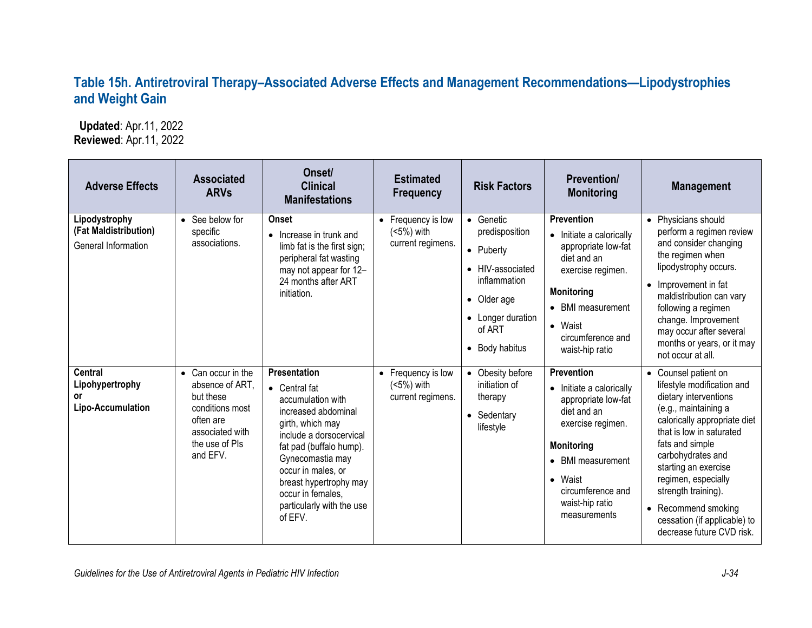## **Table 15h. Antiretroviral Therapy–Associated Adverse Effects and Management Recommendations—Lipodystrophies and Weight Gain**

 **Updated**: Apr.11, 2022 **Reviewed**: Apr.11, 2022

| <b>Adverse Effects</b>                                        | <b>Associated</b><br><b>ARVs</b>                                                                                                    | Onset/<br><b>Clinical</b><br><b>Manifestations</b>                                                                                                                                                                                                                                   | <b>Estimated</b><br><b>Frequency</b>                  | <b>Risk Factors</b>                                                                                                                          | <b>Prevention/</b><br><b>Monitoring</b>                                                                                                                                                                               | <b>Management</b>                                                                                                                                                                                                                                                                                                                                                 |
|---------------------------------------------------------------|-------------------------------------------------------------------------------------------------------------------------------------|--------------------------------------------------------------------------------------------------------------------------------------------------------------------------------------------------------------------------------------------------------------------------------------|-------------------------------------------------------|----------------------------------------------------------------------------------------------------------------------------------------------|-----------------------------------------------------------------------------------------------------------------------------------------------------------------------------------------------------------------------|-------------------------------------------------------------------------------------------------------------------------------------------------------------------------------------------------------------------------------------------------------------------------------------------------------------------------------------------------------------------|
| Lipodystrophy<br>(Fat Maldistribution)<br>General Information | • See below for<br>specific<br>associations.                                                                                        | <b>Onset</b><br>• Increase in trunk and<br>limb fat is the first sign;<br>peripheral fat wasting<br>may not appear for 12-<br>24 months after ART<br>initiation.                                                                                                                     | • Frequency is low<br>(<5%) with<br>current regimens. | • Genetic<br>predisposition<br>• Puberty<br>• HIV-associated<br>inflammation<br>• Older age<br>• Longer duration<br>of ART<br>• Body habitus | <b>Prevention</b><br>• Initiate a calorically<br>appropriate low-fat<br>diet and an<br>exercise regimen.<br><b>Monitoring</b><br>• BMI measurement<br>• Waist<br>circumference and<br>waist-hip ratio                 | • Physicians should<br>perform a regimen review<br>and consider changing<br>the regimen when<br>lipodystrophy occurs.<br>Improvement in fat<br>$\bullet$<br>maldistribution can vary<br>following a regimen<br>change. Improvement<br>may occur after several<br>months or years, or it may<br>not occur at all.                                                  |
| <b>Central</b><br>Lipohypertrophy<br>or<br>Lipo-Accumulation  | • Can occur in the<br>absence of ART.<br>but these<br>conditions most<br>often are<br>associated with<br>the use of PIs<br>and EFV. | Presentation<br>• Central fat<br>accumulation with<br>increased abdominal<br>girth, which may<br>include a dorsocervical<br>fat pad (buffalo hump).<br>Gynecomastia may<br>occur in males, or<br>breast hypertrophy may<br>occur in females,<br>particularly with the use<br>of EFV. | • Frequency is low<br>(<5%) with<br>current regimens. | • Obesity before<br>initiation of<br>therapy<br>• Sedentary<br>lifestyle                                                                     | <b>Prevention</b><br>• Initiate a calorically<br>appropriate low-fat<br>diet and an<br>exercise regimen.<br><b>Monitoring</b><br>• BMI measurement<br>• Waist<br>circumference and<br>waist-hip ratio<br>measurements | • Counsel patient on<br>lifestyle modification and<br>dietary interventions<br>(e.g., maintaining a<br>calorically appropriate diet<br>that is low in saturated<br>fats and simple<br>carbohydrates and<br>starting an exercise<br>regimen, especially<br>strength training).<br>• Recommend smoking<br>cessation (if applicable) to<br>decrease future CVD risk. |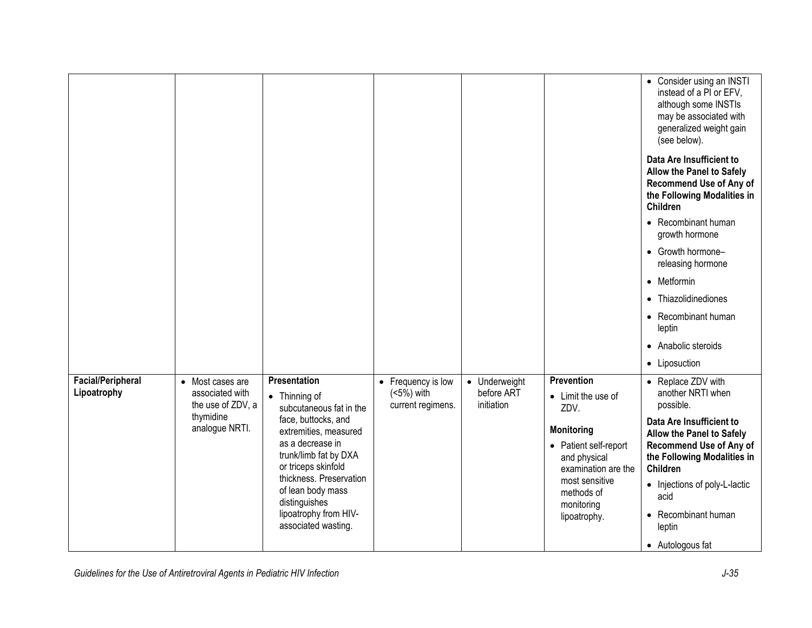|                                         |                                                          |                                                                                                                                                                                   |                                                                   |                                           |                                                                                                                            | • Consider using an INSTI<br>instead of a PI or EFV,<br>although some INSTIs<br>may be associated with<br>generalized weight gain<br>(see below).                                                    |
|-----------------------------------------|----------------------------------------------------------|-----------------------------------------------------------------------------------------------------------------------------------------------------------------------------------|-------------------------------------------------------------------|-------------------------------------------|----------------------------------------------------------------------------------------------------------------------------|------------------------------------------------------------------------------------------------------------------------------------------------------------------------------------------------------|
|                                         |                                                          |                                                                                                                                                                                   |                                                                   |                                           |                                                                                                                            | Data Are Insufficient to<br>Allow the Panel to Safely<br><b>Recommend Use of Any of</b><br>the Following Modalities in<br>Children                                                                   |
|                                         |                                                          |                                                                                                                                                                                   |                                                                   |                                           |                                                                                                                            | • Recombinant human<br>growth hormone                                                                                                                                                                |
|                                         |                                                          |                                                                                                                                                                                   |                                                                   |                                           |                                                                                                                            | • Growth hormone-<br>releasing hormone                                                                                                                                                               |
|                                         |                                                          |                                                                                                                                                                                   |                                                                   |                                           |                                                                                                                            | • Metformin                                                                                                                                                                                          |
|                                         |                                                          |                                                                                                                                                                                   |                                                                   |                                           |                                                                                                                            | • Thiazolidinediones                                                                                                                                                                                 |
|                                         |                                                          |                                                                                                                                                                                   |                                                                   |                                           |                                                                                                                            | • Recombinant human<br>leptin                                                                                                                                                                        |
|                                         |                                                          |                                                                                                                                                                                   |                                                                   |                                           |                                                                                                                            | • Anabolic steroids                                                                                                                                                                                  |
|                                         |                                                          |                                                                                                                                                                                   |                                                                   |                                           |                                                                                                                            | • Liposuction                                                                                                                                                                                        |
| <b>Facial/Peripheral</b><br>Lipoatrophy | • Most cases are<br>associated with<br>the use of ZDV, a | Presentation<br>$\bullet$ Thinning of<br>subcutaneous fat in the                                                                                                                  | Frequency is low<br>$\bullet$<br>$(5%)$ with<br>current regimens. | • Underweight<br>before ART<br>initiation | <b>Prevention</b><br>• Limit the use of<br>ZDV.                                                                            | • Replace ZDV with<br>another NRTI when<br>possible.                                                                                                                                                 |
|                                         | thymidine<br>analogue NRTI.                              | face, buttocks, and<br>extremities, measured                                                                                                                                      |                                                                   |                                           | <b>Monitoring</b>                                                                                                          | Data Are Insufficient to                                                                                                                                                                             |
|                                         |                                                          | as a decrease in<br>trunk/limb fat by DXA<br>or triceps skinfold<br>thickness. Preservation<br>of lean body mass<br>distinguishes<br>lipoatrophy from HIV-<br>associated wasting. |                                                                   |                                           | • Patient self-report<br>and physical<br>examination are the<br>most sensitive<br>methods of<br>monitoring<br>lipoatrophy. | Allow the Panel to Safely<br><b>Recommend Use of Any of</b><br>the Following Modalities in<br>Children<br>• Injections of poly-L-lactic<br>acid<br>• Recombinant human<br>leptin<br>• Autologous fat |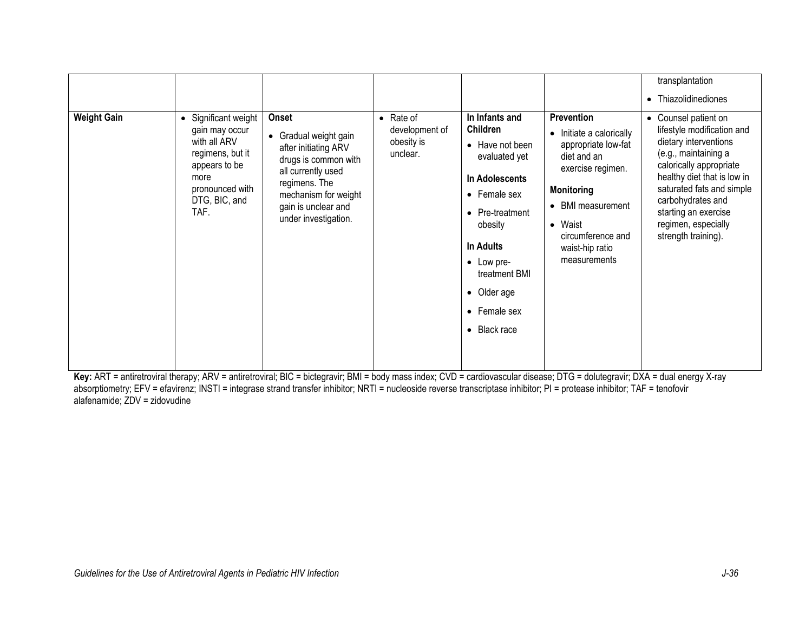| <b>Weight Gain</b> | Significant weight<br>gain may occur                                                                  | Onset                                                                                                                                                                               | $\bullet$ Rate of<br>development of | In Infants and<br>Children                                                                                                                                                                          | Prevention<br>• Initiate a calorically                                                                                                                               | transplantation<br>Thiazolidinediones<br>$\bullet$<br>Counsel patient on<br>$\bullet$<br>lifestyle modification and                                                                                                             |
|--------------------|-------------------------------------------------------------------------------------------------------|-------------------------------------------------------------------------------------------------------------------------------------------------------------------------------------|-------------------------------------|-----------------------------------------------------------------------------------------------------------------------------------------------------------------------------------------------------|----------------------------------------------------------------------------------------------------------------------------------------------------------------------|---------------------------------------------------------------------------------------------------------------------------------------------------------------------------------------------------------------------------------|
|                    | with all ARV<br>regimens, but it<br>appears to be<br>more<br>pronounced with<br>DTG, BIC, and<br>TAF. | • Gradual weight gain<br>after initiating ARV<br>drugs is common with<br>all currently used<br>regimens. The<br>mechanism for weight<br>gain is unclear and<br>under investigation. | obesity is<br>unclear.              | • Have not been<br>evaluated yet<br>In Adolescents<br>• Female sex<br>• Pre-treatment<br>obesity<br>In Adults<br>• Low pre-<br>treatment BMI<br>• Older age<br>• Female sex<br>$\bullet$ Black race | appropriate low-fat<br>diet and an<br>exercise regimen.<br><b>Monitoring</b><br>• BMI measurement<br>• Waist<br>circumference and<br>waist-hip ratio<br>measurements | dietary interventions<br>(e.g., maintaining a<br>calorically appropriate<br>healthy diet that is low in<br>saturated fats and simple<br>carbohydrates and<br>starting an exercise<br>regimen, especially<br>strength training). |

**Key:** ART = antiretroviral therapy; ARV = antiretroviral; BIC = bictegravir; BMI = body mass index; CVD = cardiovascular disease; DTG = dolutegravir; DXA = dual energy X-ray absorptiometry; EFV = efavirenz; INSTI = integrase strand transfer inhibitor; NRTI = nucleoside reverse transcriptase inhibitor; PI = protease inhibitor; TAF = tenofovir alafenamide; ZDV = zidovudine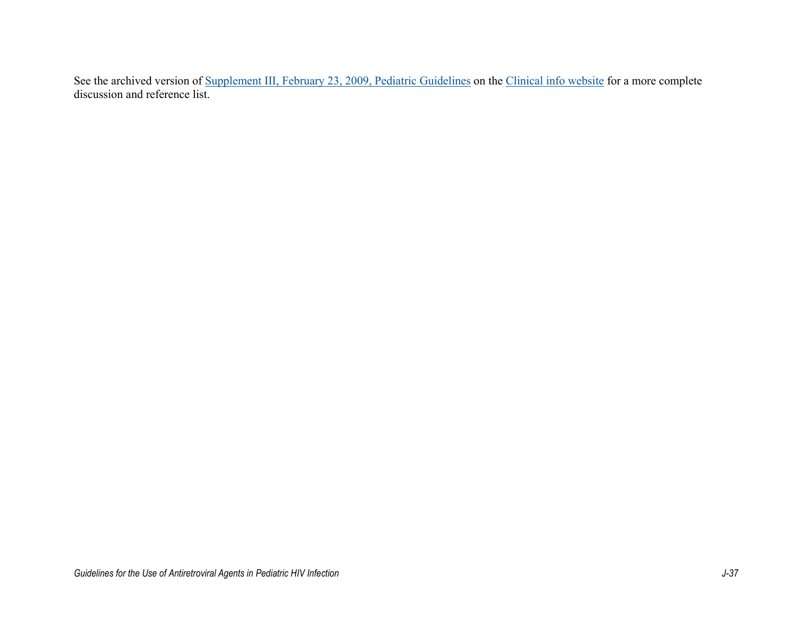See the archived version of [Supplement III, February 23, 2009, Pediatric Guidelines](https://clinicalinfo.hiv.gov/sites/default/files/guidelines/archive/PediatricGL_SupI2009001321.pdf) on the [Clinical info website](https://clinicalinfo.hiv.gov/en/guidelines) for a more complete discussion and reference list.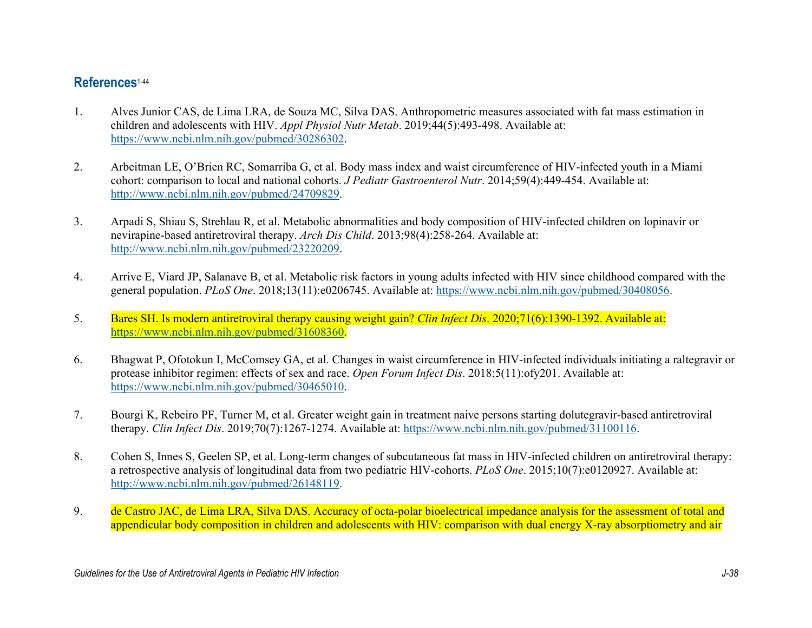## **References**[1-44](#page-4-0)

- <span id="page-4-0"></span>1. Alves Junior CAS, de Lima LRA, de Souza MC, Silva DAS. Anthropometric measures associated with fat mass estimation in children and adolescents with HIV. *Appl Physiol Nutr Metab*. 2019;44(5):493-498. Available at: [https://www.ncbi.nlm.nih.gov/pubmed/30286302.](https://www.ncbi.nlm.nih.gov/pubmed/30286302)
- 2. Arbeitman LE, O'Brien RC, Somarriba G, et al. Body mass index and waist circumference of HIV-infected youth in a Miami cohort: comparison to local and national cohorts. *J Pediatr Gastroenterol Nutr*. 2014;59(4):449-454. Available at: [http://www.ncbi.nlm.nih.gov/pubmed/24709829.](http://www.ncbi.nlm.nih.gov/pubmed/24709829)
- 3. Arpadi S, Shiau S, Strehlau R, et al. Metabolic abnormalities and body composition of HIV-infected children on lopinavir or nevirapine-based antiretroviral therapy. *Arch Dis Child*. 2013;98(4):258-264. Available at: [http://www.ncbi.nlm.nih.gov/pubmed/23220209.](http://www.ncbi.nlm.nih.gov/pubmed/23220209)
- 4. Arrive E, Viard JP, Salanave B, et al. Metabolic risk factors in young adults infected with HIV since childhood compared with the general population. *PLoS One*. 2018;13(11):e0206745. Available at: [https://www.ncbi.nlm.nih.gov/pubmed/30408056.](https://www.ncbi.nlm.nih.gov/pubmed/30408056)
- 5. Bares SH. Is modern antiretroviral therapy causing weight gain? *Clin Infect Dis*. 2020;71(6):1390-1392. Available at: [https://www.ncbi.nlm.nih.gov/pubmed/31608360.](https://www.ncbi.nlm.nih.gov/pubmed/31608360)
- 6. Bhagwat P, Ofotokun I, McComsey GA, et al. Changes in waist circumference in HIV-infected individuals initiating a raltegravir or protease inhibitor regimen: effects of sex and race. *Open Forum Infect Dis*. 2018;5(11):ofy201. Available at: [https://www.ncbi.nlm.nih.gov/pubmed/30465010.](https://www.ncbi.nlm.nih.gov/pubmed/30465010)
- 7. Bourgi K, Rebeiro PF, Turner M, et al. Greater weight gain in treatment naive persons starting dolutegravir-based antiretroviral therapy. *Clin Infect Dis*. 2019;70(7):1267-1274. Available at: [https://www.ncbi.nlm.nih.gov/pubmed/31100116.](https://www.ncbi.nlm.nih.gov/pubmed/31100116)
- 8. Cohen S, Innes S, Geelen SP, et al. Long-term changes of subcutaneous fat mass in HIV-infected children on antiretroviral therapy: a retrospective analysis of longitudinal data from two pediatric HIV-cohorts. *PLoS One*. 2015;10(7):e0120927. Available at: [http://www.ncbi.nlm.nih.gov/pubmed/26148119.](http://www.ncbi.nlm.nih.gov/pubmed/26148119)
- 9. de Castro JAC, de Lima LRA, Silva DAS. Accuracy of octa-polar bioelectrical impedance analysis for the assessment of total and appendicular body composition in children and adolescents with HIV: comparison with dual energy X-ray absorptiometry and air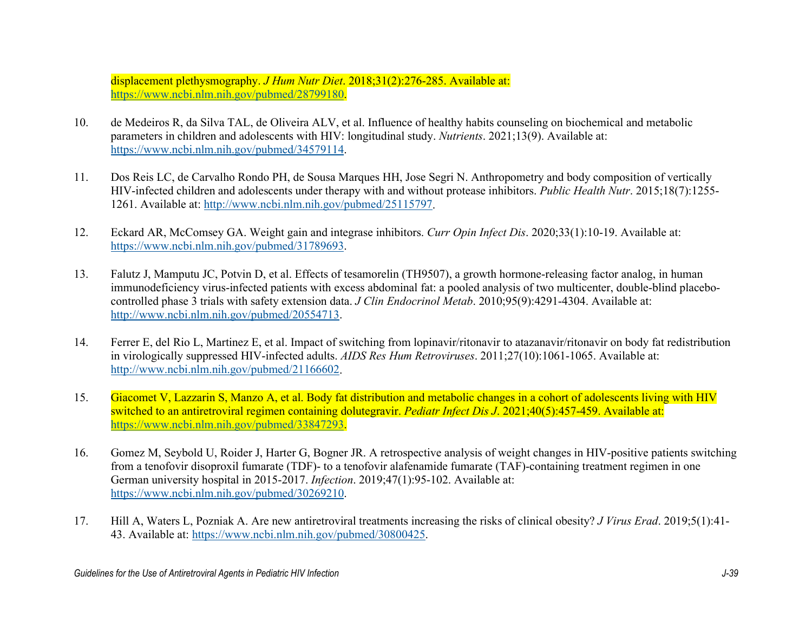displacement plethysmography. *J Hum Nutr Diet*. 2018;31(2):276-285. Available at: [https://www.ncbi.nlm.nih.gov/pubmed/28799180.](https://www.ncbi.nlm.nih.gov/pubmed/28799180)

- 10. de Medeiros R, da Silva TAL, de Oliveira ALV, et al. Influence of healthy habits counseling on biochemical and metabolic parameters in children and adolescents with HIV: longitudinal study. *Nutrients*. 2021;13(9). Available at: [https://www.ncbi.nlm.nih.gov/pubmed/34579114.](https://www.ncbi.nlm.nih.gov/pubmed/34579114)
- 11. Dos Reis LC, de Carvalho Rondo PH, de Sousa Marques HH, Jose Segri N. Anthropometry and body composition of vertically HIV-infected children and adolescents under therapy with and without protease inhibitors. *Public Health Nutr*. 2015;18(7):1255- 1261. Available at: [http://www.ncbi.nlm.nih.gov/pubmed/25115797.](http://www.ncbi.nlm.nih.gov/pubmed/25115797)
- 12. Eckard AR, McComsey GA. Weight gain and integrase inhibitors. *Curr Opin Infect Dis*. 2020;33(1):10-19. Available at: [https://www.ncbi.nlm.nih.gov/pubmed/31789693.](https://www.ncbi.nlm.nih.gov/pubmed/31789693)
- 13. Falutz J, Mamputu JC, Potvin D, et al. Effects of tesamorelin (TH9507), a growth hormone-releasing factor analog, in human immunodeficiency virus-infected patients with excess abdominal fat: a pooled analysis of two multicenter, double-blind placebocontrolled phase 3 trials with safety extension data. *J Clin Endocrinol Metab*. 2010;95(9):4291-4304. Available at: [http://www.ncbi.nlm.nih.gov/pubmed/20554713.](http://www.ncbi.nlm.nih.gov/pubmed/20554713)
- 14. Ferrer E, del Rio L, Martinez E, et al. Impact of switching from lopinavir/ritonavir to atazanavir/ritonavir on body fat redistribution in virologically suppressed HIV-infected adults. *AIDS Res Hum Retroviruses*. 2011;27(10):1061-1065. Available at: [http://www.ncbi.nlm.nih.gov/pubmed/21166602.](http://www.ncbi.nlm.nih.gov/pubmed/21166602)
- 15. Giacomet V, Lazzarin S, Manzo A, et al. Body fat distribution and metabolic changes in a cohort of adolescents living with HIV switched to an antiretroviral regimen containing dolutegravir. *Pediatr Infect Dis J*. 2021;40(5):457-459. Available at: [https://www.ncbi.nlm.nih.gov/pubmed/33847293.](https://www.ncbi.nlm.nih.gov/pubmed/33847293)
- 16. Gomez M, Seybold U, Roider J, Harter G, Bogner JR. A retrospective analysis of weight changes in HIV-positive patients switching from a tenofovir disoproxil fumarate (TDF)- to a tenofovir alafenamide fumarate (TAF)-containing treatment regimen in one German university hospital in 2015-2017. *Infection*. 2019;47(1):95-102. Available at: [https://www.ncbi.nlm.nih.gov/pubmed/30269210.](https://www.ncbi.nlm.nih.gov/pubmed/30269210)
- 17. Hill A, Waters L, Pozniak A. Are new antiretroviral treatments increasing the risks of clinical obesity? *J Virus Erad*. 2019;5(1):41- 43. Available at: [https://www.ncbi.nlm.nih.gov/pubmed/30800425.](https://www.ncbi.nlm.nih.gov/pubmed/30800425)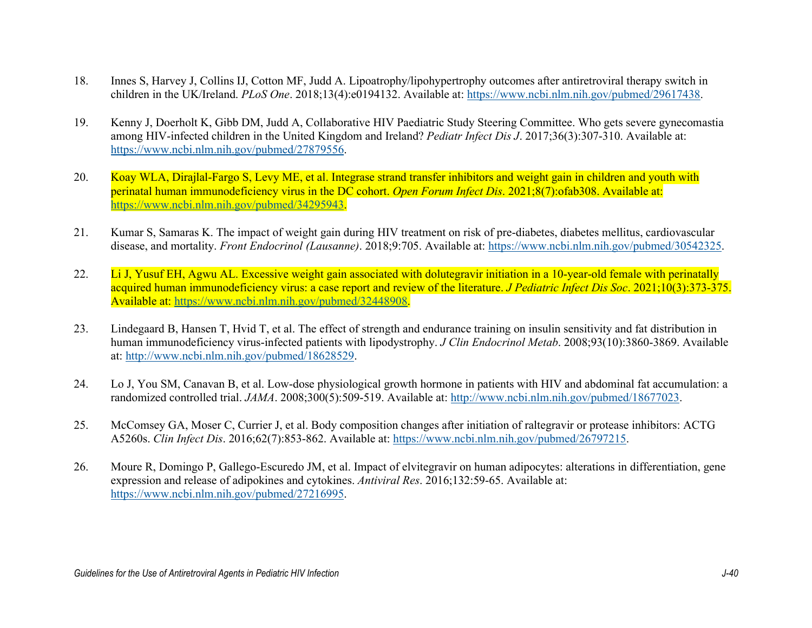- 18. Innes S, Harvey J, Collins IJ, Cotton MF, Judd A. Lipoatrophy/lipohypertrophy outcomes after antiretroviral therapy switch in children in the UK/Ireland. *PLoS One*. 2018;13(4):e0194132. Available at: [https://www.ncbi.nlm.nih.gov/pubmed/29617438.](https://www.ncbi.nlm.nih.gov/pubmed/29617438)
- 19. Kenny J, Doerholt K, Gibb DM, Judd A, Collaborative HIV Paediatric Study Steering Committee. Who gets severe gynecomastia among HIV-infected children in the United Kingdom and Ireland? *Pediatr Infect Dis J*. 2017;36(3):307-310. Available at: [https://www.ncbi.nlm.nih.gov/pubmed/27879556.](https://www.ncbi.nlm.nih.gov/pubmed/27879556)
- 20. Koay WLA, Dirajlal-Fargo S, Levy ME, et al. Integrase strand transfer inhibitors and weight gain in children and youth with perinatal human immunodeficiency virus in the DC cohort. *Open Forum Infect Dis*. 2021;8(7):ofab308. Available at: [https://www.ncbi.nlm.nih.gov/pubmed/34295943.](https://www.ncbi.nlm.nih.gov/pubmed/34295943)
- 21. Kumar S, Samaras K. The impact of weight gain during HIV treatment on risk of pre-diabetes, diabetes mellitus, cardiovascular disease, and mortality. *Front Endocrinol (Lausanne)*. 2018;9:705. Available at: [https://www.ncbi.nlm.nih.gov/pubmed/30542325.](https://www.ncbi.nlm.nih.gov/pubmed/30542325)
- 22. Li J, Yusuf EH, Agwu AL. Excessive weight gain associated with dolutegravir initiation in a 10-year-old female with perinatally acquired human immunodeficiency virus: a case report and review of the literature. *J Pediatric Infect Dis Soc*. 2021;10(3):373-375. Available at: [https://www.ncbi.nlm.nih.gov/pubmed/32448908.](https://www.ncbi.nlm.nih.gov/pubmed/32448908)
- 23. Lindegaard B, Hansen T, Hvid T, et al. The effect of strength and endurance training on insulin sensitivity and fat distribution in human immunodeficiency virus-infected patients with lipodystrophy. *J Clin Endocrinol Metab*. 2008;93(10):3860-3869. Available at: [http://www.ncbi.nlm.nih.gov/pubmed/18628529.](http://www.ncbi.nlm.nih.gov/pubmed/18628529)
- 24. Lo J, You SM, Canavan B, et al. Low-dose physiological growth hormone in patients with HIV and abdominal fat accumulation: a randomized controlled trial. *JAMA*. 2008;300(5):509-519. Available at: [http://www.ncbi.nlm.nih.gov/pubmed/18677023.](http://www.ncbi.nlm.nih.gov/pubmed/18677023)
- 25. McComsey GA, Moser C, Currier J, et al. Body composition changes after initiation of raltegravir or protease inhibitors: ACTG A5260s. *Clin Infect Dis*. 2016;62(7):853-862. Available at: [https://www.ncbi.nlm.nih.gov/pubmed/26797215.](https://www.ncbi.nlm.nih.gov/pubmed/26797215)
- 26. Moure R, Domingo P, Gallego-Escuredo JM, et al. Impact of elvitegravir on human adipocytes: alterations in differentiation, gene expression and release of adipokines and cytokines. *Antiviral Res*. 2016;132:59-65. Available at: [https://www.ncbi.nlm.nih.gov/pubmed/27216995.](https://www.ncbi.nlm.nih.gov/pubmed/27216995)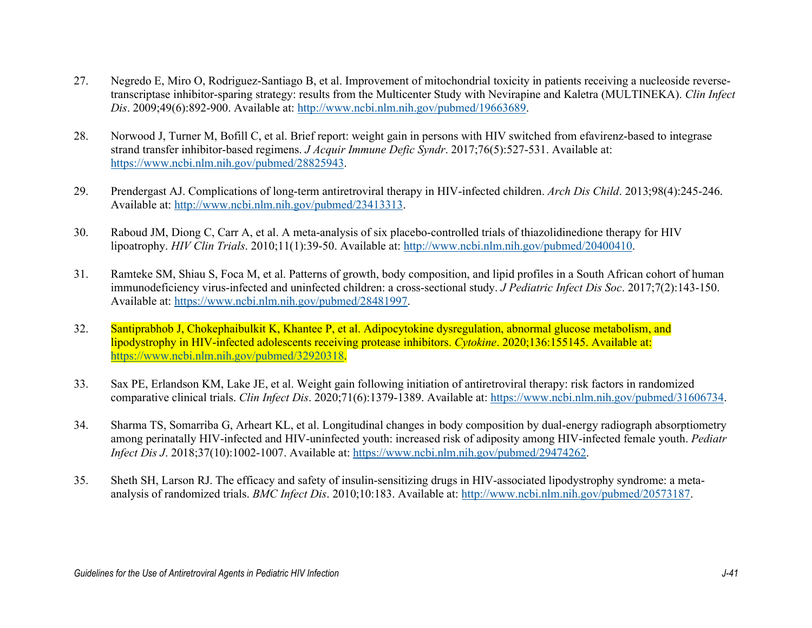- 27. Negredo E, Miro O, Rodriguez-Santiago B, et al. Improvement of mitochondrial toxicity in patients receiving a nucleoside reversetranscriptase inhibitor-sparing strategy: results from the Multicenter Study with Nevirapine and Kaletra (MULTINEKA). *Clin Infect Dis*. 2009;49(6):892-900. Available at: [http://www.ncbi.nlm.nih.gov/pubmed/19663689.](http://www.ncbi.nlm.nih.gov/pubmed/19663689)
- 28. Norwood J, Turner M, Bofill C, et al. Brief report: weight gain in persons with HIV switched from efavirenz-based to integrase strand transfer inhibitor-based regimens. *J Acquir Immune Defic Syndr*. 2017;76(5):527-531. Available at: [https://www.ncbi.nlm.nih.gov/pubmed/28825943.](https://www.ncbi.nlm.nih.gov/pubmed/28825943)
- 29. Prendergast AJ. Complications of long-term antiretroviral therapy in HIV-infected children. *Arch Dis Child*. 2013;98(4):245-246. Available at: [http://www.ncbi.nlm.nih.gov/pubmed/23413313.](http://www.ncbi.nlm.nih.gov/pubmed/23413313)
- 30. Raboud JM, Diong C, Carr A, et al. A meta-analysis of six placebo-controlled trials of thiazolidinedione therapy for HIV lipoatrophy. *HIV Clin Trials*. 2010;11(1):39-50. Available at: [http://www.ncbi.nlm.nih.gov/pubmed/20400410.](http://www.ncbi.nlm.nih.gov/pubmed/20400410)
- 31. Ramteke SM, Shiau S, Foca M, et al. Patterns of growth, body composition, and lipid profiles in a South African cohort of human immunodeficiency virus-infected and uninfected children: a cross-sectional study. *J Pediatric Infect Dis Soc*. 2017;7(2):143-150. Available at: [https://www.ncbi.nlm.nih.gov/pubmed/28481997.](https://www.ncbi.nlm.nih.gov/pubmed/28481997)
- 32. Santiprabhob J, Chokephaibulkit K, Khantee P, et al. Adipocytokine dysregulation, abnormal glucose metabolism, and lipodystrophy in HIV-infected adolescents receiving protease inhibitors. *Cytokine*. 2020;136:155145. Available at: [https://www.ncbi.nlm.nih.gov/pubmed/32920318.](https://www.ncbi.nlm.nih.gov/pubmed/32920318)
- 33. Sax PE, Erlandson KM, Lake JE, et al. Weight gain following initiation of antiretroviral therapy: risk factors in randomized comparative clinical trials. *Clin Infect Dis*. 2020;71(6):1379-1389. Available at: [https://www.ncbi.nlm.nih.gov/pubmed/31606734.](https://www.ncbi.nlm.nih.gov/pubmed/31606734)
- 34. Sharma TS, Somarriba G, Arheart KL, et al. Longitudinal changes in body composition by dual-energy radiograph absorptiometry among perinatally HIV-infected and HIV-uninfected youth: increased risk of adiposity among HIV-infected female youth. *Pediatr Infect Dis J*. 2018;37(10):1002-1007. Available at: [https://www.ncbi.nlm.nih.gov/pubmed/29474262.](https://www.ncbi.nlm.nih.gov/pubmed/29474262)
- 35. Sheth SH, Larson RJ. The efficacy and safety of insulin-sensitizing drugs in HIV-associated lipodystrophy syndrome: a metaanalysis of randomized trials. *BMC Infect Dis*. 2010;10:183. Available at: [http://www.ncbi.nlm.nih.gov/pubmed/20573187.](http://www.ncbi.nlm.nih.gov/pubmed/20573187)